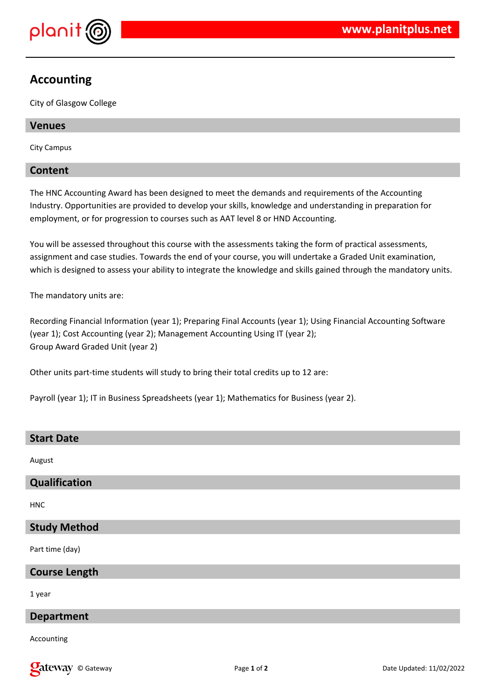

# **Accounting**

City of Glasgow College

# **Venues**

City Campus

# **Content**

The HNC Accounting Award has been designed to meet the demands and requirements of the Accounting Industry. Opportunities are provided to develop your skills, knowledge and understanding in preparation for employment, or for progression to courses such as AAT level 8 or HND Accounting.

You will be assessed throughout this course with the assessments taking the form of practical assessments, assignment and case studies. Towards the end of your course, you will undertake a Graded Unit examination, which is designed to assess your ability to integrate the knowledge and skills gained through the mandatory units.

The mandatory units are:

Recording Financial Information (year 1); Preparing Final Accounts (year 1); Using Financial Accounting Software (year 1); Cost Accounting (year 2); Management Accounting Using IT (year 2); Group Award Graded Unit (year 2)

Other units part-time students will study to bring their total credits up to 12 are:

Payroll (year 1); IT in Business Spreadsheets (year 1); Mathematics for Business (year 2).

### **Start Date**

August

# **Qualification**

HNC

# **Study Method**

Part time (day)

# **Course Length**

1 year

# **Department**

Accounting